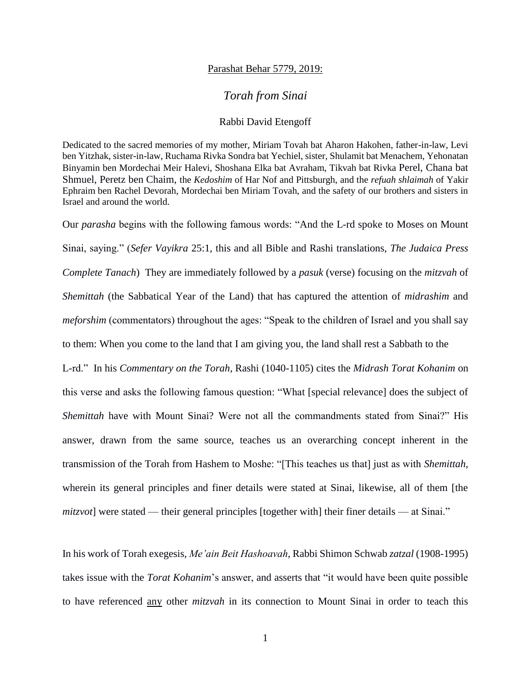## Parashat Behar 5779, 2019:

## *Torah from Sinai*

## Rabbi David Etengoff

Dedicated to the sacred memories of my mother, Miriam Tovah bat Aharon Hakohen, father-in-law, Levi ben Yitzhak, sister-in-law, Ruchama Rivka Sondra bat Yechiel, sister, Shulamit bat Menachem, Yehonatan Binyamin ben Mordechai Meir Halevi, Shoshana Elka bat Avraham, Tikvah bat Rivka Perel, Chana bat Shmuel, Peretz ben Chaim, the *Kedoshim* of Har Nof and Pittsburgh, and the *refuah shlaimah* of Yakir Ephraim ben Rachel Devorah, Mordechai ben Miriam Tovah, and the safety of our brothers and sisters in Israel and around the world.

Our *parasha* begins with the following famous words: "And the L-rd spoke to Moses on Mount Sinai, saying." (*Sefer Vayikra* 25:1, this and all Bible and Rashi translations, *The Judaica Press Complete Tanach*) They are immediately followed by a *pasuk* (verse) focusing on the *mitzvah* of *Shemittah* (the Sabbatical Year of the Land) that has captured the attention of *midrashim* and *meforshim* (commentators) throughout the ages: "Speak to the children of Israel and you shall say to them: When you come to the land that I am giving you, the land shall rest a Sabbath to the L-rd." In his *Commentary on the Torah*, Rashi (1040-1105) cites the *Midrash Torat Kohanim* on this verse and asks the following famous question: "What [special relevance] does the subject of *Shemittah* have with Mount Sinai? Were not all the commandments stated from Sinai?" His answer, drawn from the same source, teaches us an overarching concept inherent in the transmission of the Torah from Hashem to Moshe: "[This teaches us that] just as with *Shemittah*, wherein its general principles and finer details were stated at Sinai, likewise, all of them [the *mitzvot*] were stated — their general principles [together with] their finer details — at Sinai."

In his work of Torah exegesis, *Me'ain Beit Hashoavah*, Rabbi Shimon Schwab *zatzal* (1908-1995) takes issue with the *Torat Kohanim*'s answer, and asserts that "it would have been quite possible to have referenced any other *mitzvah* in its connection to Mount Sinai in order to teach this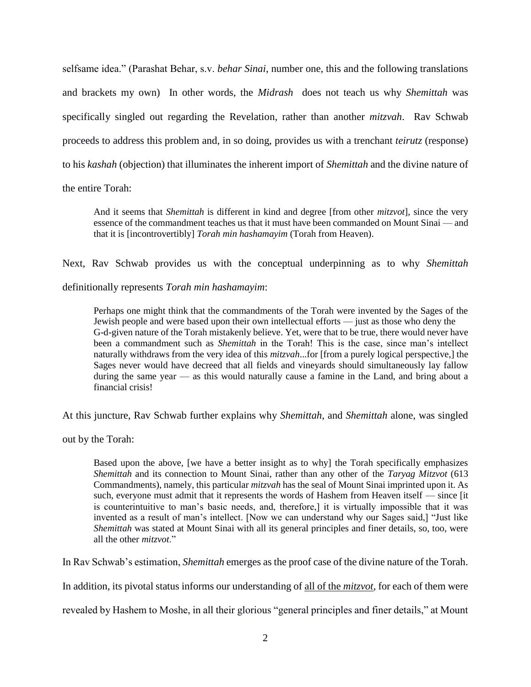selfsame idea." (Parashat Behar, s.v. *behar Sinai*, number one, this and the following translations and brackets my own) In other words, the *Midrash* does not teach us why *Shemittah* was specifically singled out regarding the Revelation, rather than another *mitzvah*. Rav Schwab proceeds to address this problem and, in so doing, provides us with a trenchant *teirutz* (response) to his *kashah* (objection) that illuminates the inherent import of *Shemittah* and the divine nature of

the entire Torah:

And it seems that *Shemittah* is different in kind and degree [from other *mitzvot*], since the very essence of the commandment teaches us that it must have been commanded on Mount Sinai — and that it is [incontrovertibly] *Torah min hashamayim* (Torah from Heaven).

Next, Rav Schwab provides us with the conceptual underpinning as to why *Shemittah* 

definitionally represents *Torah min hashamayim*:

Perhaps one might think that the commandments of the Torah were invented by the Sages of the Jewish people and were based upon their own intellectual efforts — just as those who deny the G-d-given nature of the Torah mistakenly believe. Yet, were that to be true, there would never have been a commandment such as *Shemittah* in the Torah! This is the case, since man's intellect naturally withdraws from the very idea of this *mitzvah*...for [from a purely logical perspective,] the Sages never would have decreed that all fields and vineyards should simultaneously lay fallow during the same year — as this would naturally cause a famine in the Land, and bring about a financial crisis!

At this juncture, Rav Schwab further explains why *Shemittah*, and *Shemittah* alone, was singled

out by the Torah:

Based upon the above, [we have a better insight as to why] the Torah specifically emphasizes *Shemittah* and its connection to Mount Sinai, rather than any other of the *Taryag Mitzvot* (613 Commandments), namely, this particular *mitzvah* has the seal of Mount Sinai imprinted upon it. As such, everyone must admit that it represents the words of Hashem from Heaven itself — since [it is counterintuitive to man's basic needs, and, therefore,] it is virtually impossible that it was invented as a result of man's intellect. [Now we can understand why our Sages said,] "Just like *Shemittah* was stated at Mount Sinai with all its general principles and finer details, so, too, were all the other *mitzvot*."

In Rav Schwab's estimation, *Shemittah* emerges as the proof case of the divine nature of the Torah.

In addition, its pivotal status informs our understanding of all of the *mitzvot*, for each of them were

revealed by Hashem to Moshe, in all their glorious "general principles and finer details," at Mount